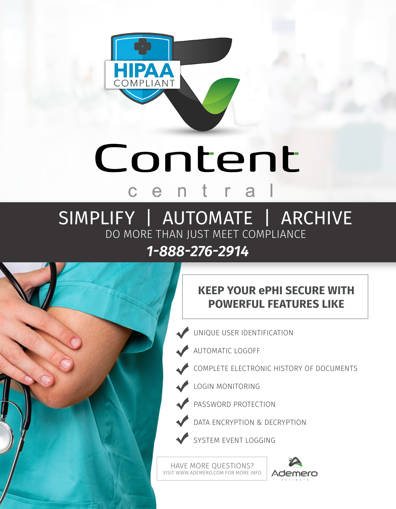

# Content  $c$   $e$

# SIMPLIFY | AUTOMATE | ARCHIVE DO MORE THAN JUST MEET COMPLIANCE *1-888-276-2914*